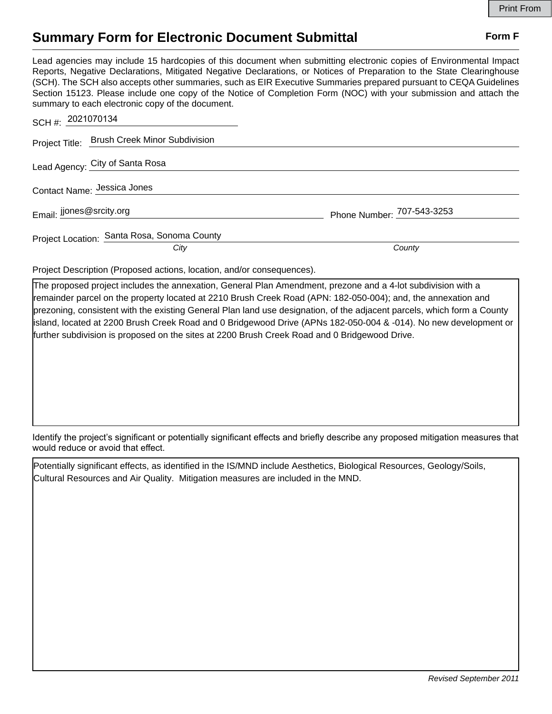## **Summary Form for Electronic Document Submittal Form F Form F**

Lead agencies may include 15 hardcopies of this document when submitting electronic copies of Environmental Impact Reports, Negative Declarations, Mitigated Negative Declarations, or Notices of Preparation to the State Clearinghouse (SCH). The SCH also accepts other summaries, such as EIR Executive Summaries prepared pursuant to CEQA Guidelines Section 15123. Please include one copy of the Notice of Completion Form (NOC) with your submission and attach the summary to each electronic copy of the document.

| SCH #: 2021070134                            |                            |
|----------------------------------------------|----------------------------|
| Project Title: Brush Creek Minor Subdivision |                            |
| Lead Agency: City of Santa Rosa              |                            |
| Contact Name: Jessica Jones                  |                            |
| Email: Jjones@srcity.org                     | Phone Number: 707-543-3253 |
| Project Location: Santa Rosa, Sonoma County  |                            |
| City                                         | County                     |

Project Description (Proposed actions, location, and/or consequences).

The proposed project includes the annexation, General Plan Amendment, prezone and a 4-lot subdivision with a remainder parcel on the property located at 2210 Brush Creek Road (APN: 182-050-004); and, the annexation and prezoning, consistent with the existing General Plan land use designation, of the adjacent parcels, which form a County island, located at 2200 Brush Creek Road and 0 Bridgewood Drive (APNs 182-050-004 & -014). No new development or further subdivision is proposed on the sites at 2200 Brush Creek Road and 0 Bridgewood Drive.

Identify the project's significant or potentially significant effects and briefly describe any proposed mitigation measures that would reduce or avoid that effect.

Potentially significant effects, as identified in the IS/MND include Aesthetics, Biological Resources, Geology/Soils, Cultural Resources and Air Quality. Mitigation measures are included in the MND.